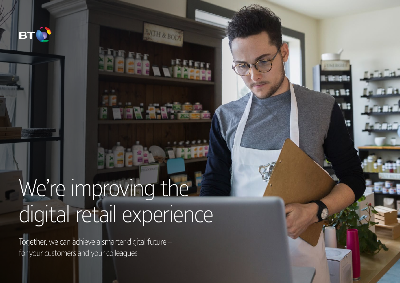We're improving the digital retail experience

ATH & BOI

Together, we can achieve a smarter digital future – for your customers and your colleagues

BT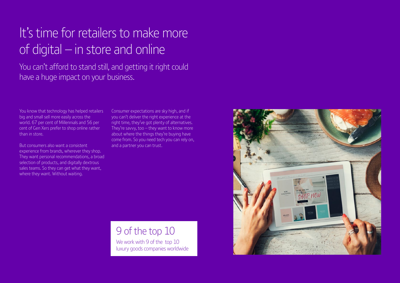# It's time for retailers to make more of digital  $-$  in store and online

You can't afford to stand still, and getting it right could have a huge impact on your business.

You know that technology has helped retailers big and small sell more easily across the world. 67 per cent of Millennials and 56 per cent of Gen Xers prefer to shop online rather than in store.

But consumers also want a consistent experience from brands, wherever they shop. They want personal recommendations, a broad selection of products, and digitally dextrous sales teams. So they can get what they want, where they want. Without waiting.

Consumer expectations are sky high, and if you can't deliver the right experience at the right time, they've got plenty of alternatives. They're savvy, too – they want to know more about where the things they're buying have come from. So you need tech you can rely on, and a partner you can trust.

### 9 of the top 10 We work with 9 of the top 10 luxury goods companies worldwide

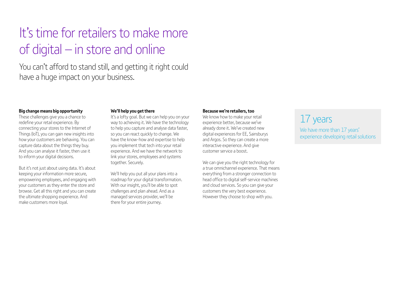# It's time for retailers to make more of digital  $-$  in store and online

You can't afford to stand still, and getting it right could have a huge impact on your business.

#### **Big change means big opportunity**

These challenges give you a chance to redefine your retail experience. By connecting your stores to the Internet of Things (IoT), you can gain new insights into how your customers are behaving. You can capture data about the things they buy. And you can analyse it faster, then use it to inform your digital decisions.

But it's not just about using data. It's about keeping your information more secure, empowering employees, and engaging with your customers as they enter the store and browse. Get all this right and you can create the ultimate shopping experience. And make customers more loyal.

#### **We'll help you get there**

It's a lofty goal. But we can help you on your way to achieving it. We have the technology to help you capture and analyse data faster, so you can react quickly to change. We have the know-how and expertise to help you implement that tech into your retail experience. And we have the network to link your stores, employees and systems together. Securely.

We'll help you put all your plans into a roadmap for your digital transformation. With our insight, you'll be able to spot challenges and plan ahead. And as a managed services provider, we'll be there for your entire journey.

#### **Because we're retailers, too**

We know how to make your retail experience better, because we've already done it. We've created new digital experiences for EE, Sainsburys and Argos. So they can create a more interactive experience. And give customer service a boost.

We can give you the right technology for a true omnichannel experience. That means everything from a stronger connection to head office to digital self-service machines and cloud services. So you can give your customers the very best experience. However they choose to shop with you.

### 17 years We have more than 17 years' experience developing retail solutions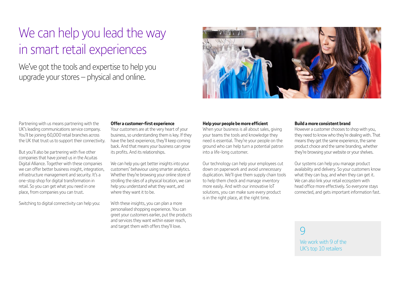## We can help you lead the way in smart retail experiences

We've got the tools and expertise to help you upgrade your stores – physical and online.



Partnering with us means partnering with the UK's leading communications service company. You'll be joining 60,000 retail branches across the UK that trust us to support their connectivity.

But you'll also be partnering with five other companies that have joined us in the Acuitas Digital Alliance. Together with these companies we can offer better business insight, integration, infrastructure management and security. It's a one-stop shop for digital transformation in retail. So you can get what you need in one place, from companies you can trust.

Switching to digital connectivity can help you:

#### **Offer a customer-first experience**

Your customers are at the very heart of your business, so understanding them is key. If they have the best experience, they'll keep coming back. And that means your business can grow its profits. And its relationships.

We can help you get better insights into your customers' behaviour using smarter analytics. Whether they're browsing your online store of strolling the isles of a physical location, we can help you understand what they want, and where they want it to be.

With these insights, you can plan a more personalised shopping experience. You can greet your customers earlier, put the products and services they want within easier reach, and target them with offers they'll love.

#### **Help your people be more efficient**

When your business is all about sales, giving your teams the tools and knowledge they need is essential. They're your people on the ground who can help turn a potential patron into a life-long customer.

Our technology can help your employees cut down on paperwork and avoid unnecessary duplication. We'll give them supply chain tools to help them check and manage inventory more easily. And with our innovative IoT solutions, you can make sure every product is in the right place, at the right time.

#### **Build a more consistent brand**

However a customer chooses to shop with you, they need to know who they're dealing with. That means they get the same experience, the same product choice and the same branding, whether they're browsing your website or your shelves.

Our systems can help you manage product availability and delivery. So your customers know what they can buy, and when they can get it. We can also link your retail ecosystem with head office more effectively. So everyone stays connected, and gets important information fast.

 $\overline{Q}$ 

We work with 9 of the UK's top 10 retailers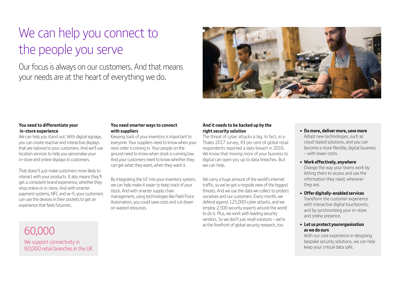## We can help you connect to the people you serve

Our focus is always on our customers. And that means your needs are at the heart of everything we do.



#### **You need to differentiate your in-store experience**

We can help you stand out. With digital signage, you can create reactive and interactive displays that are tailored to your customers. And we'll use location services to help you personalise your in-store and online displays to customers.

That doesn't just make customers more likely to interact with your products. It also means they'll get a consistent brand experience, whether they shop online or in-store. And with smarter payment systems, NFC and wi-fi, your customers can use the devices in their pockets to get an experience that feels futuristic.

#### **You need smarter ways to connect with suppliers**

Keeping track of your inventory is important to everyone. Your suppliers need to know when your next order is coming in. Your people on the ground need to know when stock is running low. And your customers need to know whether they can get what they want, when they want it.

By integrating the IoT into your inventory system, we can help make it easier to keep track of your stock. And with smarter supply chain management, using technologies like Field Force Automation, you could save costs and cut down on wasted resources.

#### **And it needs to be backed up by the right security solution**

The threat of cyber attacks is big. In fact, in a Thales 2017 survey, 43 per cent of global retail respondents reported a data breach in 2016. We know that moving more of your business to digital can open you up to data breaches. But we can help.

We carry a huge amount of the world's internet traffic, so we've got a ringside view of the biggest threats. And we use the data we collect to protect ourselves and our customers. Every month, we defend against 125,000 cyber attacks, and we employ 2,500 security experts around the world to do it. Plus, we work with leading security vendors. So we don't just resell solutions – we're at the forefront of global security research, too.

**• Do more, deliver more, save more** Adopt new technologies, such as cloud-based solutions, and you can become a more flexible, digital business – with lower costs.

#### **• Work effectively, anywhere**

Change the way your teams work by letting them to access and use the information they need, wherever they are.

**• Offer digitally-enabled services**

Transform the customer experience with interactive digital touchpoints, and by synchronising your in-store and online presence.

**• Let us protect yourorganisation as we do ours**

With our core experience in designing bespoke security solutions, we can help keep your critical data safe.

60,000 We support connectivity in 60,000 retail branches in the UK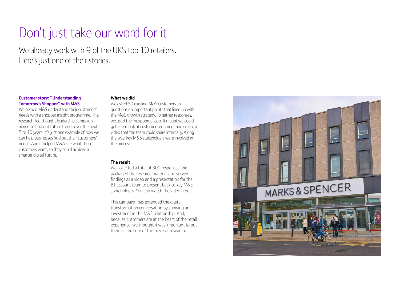### Don't just take our word for it

We already work with 9 of the UK's top 10 retailers. Here's just one of their stories.

#### **Customer story: "Understanding Tomorrow's Shopper" with M&S**

We helped M&S understand their customers' needs with a shopper insight programme. The research-led thought leadership campaign aimed to find out future trends over the next 5 to 10 years. It's just one example of how we can help businesses find out their customers' needs. And it helped M&A see what those customers want, so they could achieve a smarter digital future.

#### **What we did**

We asked 50 existing M&S customers six questions on important points that lined up with the M&S growth strategy. To gather responses, we used the 'Voxpopme' app. It meant we could get a real look at customer sentiment and create a video that the team could share internally. Along the way, key M&S stakeholders were involved in the process.

#### **The result**

We collected a total of 300 responses. We packaged the research material and survey findings as a video and a presentation for the BT account team to present back to key M&S stakeholders. You can watch [the video here](https://vimeo.com/weareagent3/review/276884621/9059a13f50).

This campaign has extended the digital transformation conversation by showing an investment in the M&S relationship. And, because customers are at the heart of the retail experience, we thought it was important to put them at the core of this piece of research.

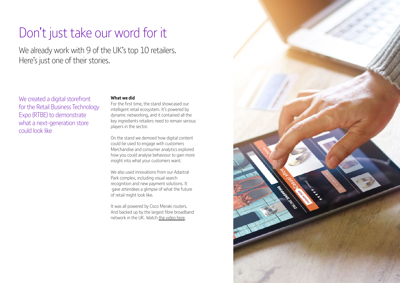### Don't just take our word for it

We already work with 9 of the UK's top 10 retailers. Here's just one of their stories.

We created a digital storefront for the Retail Business Technology Expo (RTBE) to demonstrate what a next-generation store could look like

#### **What we did**

For the first time, the stand showcased our intelligent retail ecosystem. It's powered by dynamic networking, and it contained all the key ingredients retailers need to remain serious players in the sector.

On the stand we demoed how digital content could be used to engage with customers Merchandise and consumer analytics explored how you could analyse behaviour to gain more insight into what your customers want.

We also used innovations from our Adastral Park complex, including visual search recognition and new payment solutions. It gave attendees a glimpse of what the future of retail might look like.

It was all powered by Cisco Meraki routers. And backed up by the largest fibre broadband network in the UK. Watch [the video here.](https://www.youtube.com/watch?v=sWTXO4baQF0)